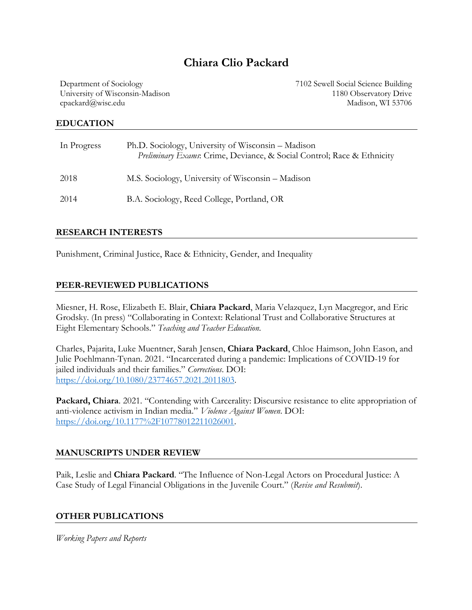# **Chiara Clio Packard**

Department of Sociology University of Wisconsin-Madison cpackard@wisc.edu

7102 Sewell Social Science Building 1180 Observatory Drive Madison, WI 53706

#### **EDUCATION**

| In Progress | Ph.D. Sociology, University of Wisconsin - Madison<br>Preliminary Exams: Crime, Deviance, & Social Control; Race & Ethnicity |
|-------------|------------------------------------------------------------------------------------------------------------------------------|
| 2018        | M.S. Sociology, University of Wisconsin - Madison                                                                            |
| 2014        | B.A. Sociology, Reed College, Portland, OR                                                                                   |

#### **RESEARCH INTERESTS**

Punishment, Criminal Justice, Race & Ethnicity, Gender, and Inequality

## **PEER-REVIEWED PUBLICATIONS**

Miesner, H. Rose, Elizabeth E. Blair, **Chiara Packard**, Maria Velazquez, Lyn Macgregor, and Eric Grodsky. (In press) "Collaborating in Context: Relational Trust and Collaborative Structures at Eight Elementary Schools." *Teaching and Teacher Education*.

Charles, Pajarita, Luke Muentner, Sarah Jensen, **Chiara Packard**, Chloe Haimson, John Eason, and Julie Poehlmann-Tynan. 2021. "Incarcerated during a pandemic: Implications of COVID-19 for jailed individuals and their families." *Corrections*. DOI: https://doi.org/10.1080/23774657.2021.2011803.

**Packard, Chiara**. 2021*.* "Contending with Carcerality: Discursive resistance to elite appropriation of anti-violence activism in Indian media." *Violence Against Women*. DOI: https://doi.org/10.1177%2F10778012211026001.

## **MANUSCRIPTS UNDER REVIEW**

Paik, Leslie and **Chiara Packard**. "The Influence of Non-Legal Actors on Procedural Justice: A Case Study of Legal Financial Obligations in the Juvenile Court." (*Revise and Resubmit*).

## **OTHER PUBLICATIONS**

*Working Papers and Reports*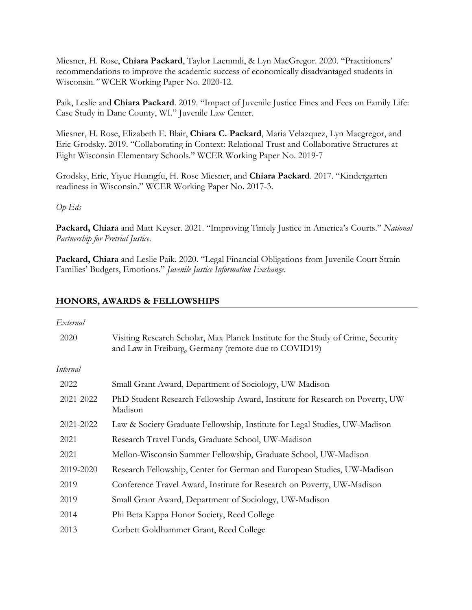Miesner, H. Rose, **Chiara Packard**, Taylor Laemmli, & Lyn MacGregor. 2020. "Practitioners' recommendations to improve the academic success of economically disadvantaged students in Wisconsin.*"* WCER Working Paper No. 2020-12.

Paik, Leslie and **Chiara Packard**. 2019. "Impact of Juvenile Justice Fines and Fees on Family Life: Case Study in Dane County, WI." Juvenile Law Center.

Miesner, H. Rose, Elizabeth E. Blair, **Chiara C. Packard**, Maria Velazquez, Lyn Macgregor, and Eric Grodsky. 2019. "Collaborating in Context: Relational Trust and Collaborative Structures at Eight Wisconsin Elementary Schools." WCER Working Paper No. 2019-7

Grodsky, Eric, Yiyue Huangfu, H. Rose Miesner, and **Chiara Packard**. 2017. "Kindergarten readiness in Wisconsin." WCER Working Paper No. 2017-3.

#### *Op-Eds*

**Packard, Chiara** and Matt Keyser. 2021. "Improving Timely Justice in America's Courts." *National Partnership for Pretrial Justice*.

**Packard, Chiara** and Leslie Paik. 2020. "Legal Financial Obligations from Juvenile Court Strain Families' Budgets, Emotions." *Juvenile Justice Information Exchange*.

## **HONORS, AWARDS & FELLOWSHIPS**

#### *External*

| 2020      | Visiting Research Scholar, Max Planck Institute for the Study of Crime, Security<br>and Law in Freiburg, Germany (remote due to COVID19) |
|-----------|------------------------------------------------------------------------------------------------------------------------------------------|
| Internal  |                                                                                                                                          |
| 2022      | Small Grant Award, Department of Sociology, UW-Madison                                                                                   |
| 2021-2022 | PhD Student Research Fellowship Award, Institute for Research on Poverty, UW-<br>Madison                                                 |
| 2021-2022 | Law & Society Graduate Fellowship, Institute for Legal Studies, UW-Madison                                                               |
| 2021      | Research Travel Funds, Graduate School, UW-Madison                                                                                       |
| 2021      | Mellon-Wisconsin Summer Fellowship, Graduate School, UW-Madison                                                                          |
| 2019-2020 | Research Fellowship, Center for German and European Studies, UW-Madison                                                                  |
| 2019      | Conference Travel Award, Institute for Research on Poverty, UW-Madison                                                                   |
| 2019      | Small Grant Award, Department of Sociology, UW-Madison                                                                                   |
| 2014      | Phi Beta Kappa Honor Society, Reed College                                                                                               |
| 2013      | Corbett Goldhammer Grant, Reed College                                                                                                   |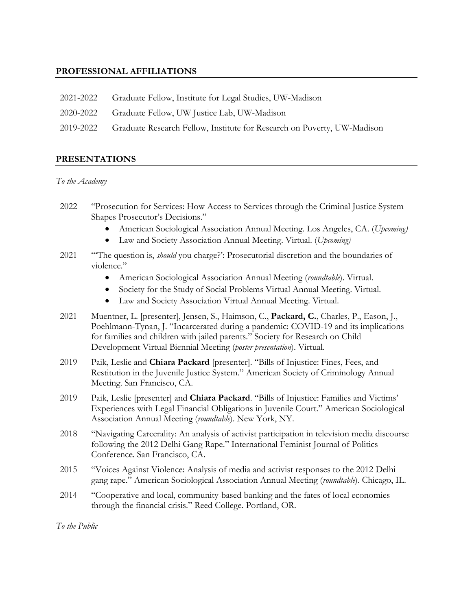# **PROFESSIONAL AFFILIATIONS**

- 2021-2022 Graduate Fellow, Institute for Legal Studies, UW-Madison
- 2020-2022 Graduate Fellow, UW Justice Lab, UW-Madison
- 2019-2022 Graduate Research Fellow, Institute for Research on Poverty, UW-Madison

## **PRESENTATIONS**

#### *To the Academy*

- 2022 "Prosecution for Services: How Access to Services through the Criminal Justice System Shapes Prosecutor's Decisions."
	- American Sociological Association Annual Meeting. Los Angeles, CA. (*Upcoming)*
	- Law and Society Association Annual Meeting. Virtual. (*Upcoming)*
- 2021 "'The question is, *should* you charge?': Prosecutorial discretion and the boundaries of violence."
	- American Sociological Association Annual Meeting (*roundtable*). Virtual.
	- Society for the Study of Social Problems Virtual Annual Meeting. Virtual.
	- Law and Society Association Virtual Annual Meeting. Virtual.
- 2021 Muentner, L. [presenter], Jensen, S., Haimson, C., **Packard, C.**, Charles, P., Eason, J., Poehlmann-Tynan, J. "Incarcerated during a pandemic: COVID-19 and its implications for families and children with jailed parents." Society for Research on Child Development Virtual Biennial Meeting (*poster presentation*). Virtual.
- 2019 Paik, Leslie and **Chiara Packard** [presenter]. "Bills of Injustice: Fines, Fees, and Restitution in the Juvenile Justice System." American Society of Criminology Annual Meeting. San Francisco, CA.
- 2019 Paik, Leslie [presenter] and **Chiara Packard**. "Bills of Injustice: Families and Victims' Experiences with Legal Financial Obligations in Juvenile Court." American Sociological Association Annual Meeting (*roundtable*). New York, NY.
- 2018 "Navigating Carcerality: An analysis of activist participation in television media discourse following the 2012 Delhi Gang Rape." International Feminist Journal of Politics Conference. San Francisco, CA.
- 2015 "Voices Against Violence: Analysis of media and activist responses to the 2012 Delhi gang rape." American Sociological Association Annual Meeting (*roundtable*). Chicago, IL.
- 2014 "Cooperative and local, community-based banking and the fates of local economies through the financial crisis." Reed College. Portland, OR.

*To the Public*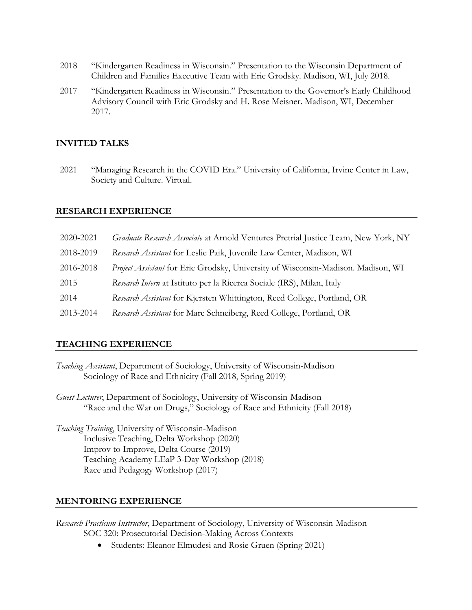- 2018 "Kindergarten Readiness in Wisconsin." Presentation to the Wisconsin Department of Children and Families Executive Team with Eric Grodsky. Madison, WI, July 2018.
- 2017 "Kindergarten Readiness in Wisconsin." Presentation to the Governor's Early Childhood Advisory Council with Eric Grodsky and H. Rose Meisner. Madison, WI, December 2017.

#### **INVITED TALKS**

2021 "Managing Research in the COVID Era." University of California, Irvine Center in Law, Society and Culture. Virtual.

#### **RESEARCH EXPERIENCE**

| 2020-2021 | Graduate Research Associate at Arnold Ventures Pretrial Justice Team, New York, NY |
|-----------|------------------------------------------------------------------------------------|
| 2018-2019 | Research Assistant for Leslie Paik, Juvenile Law Center, Madison, WI               |
| 2016-2018 | Project Assistant for Eric Grodsky, University of Wisconsin-Madison. Madison, WI   |
| 2015      | Research Intern at Istituto per la Ricerca Sociale (IRS), Milan, Italy             |
| 2014      | Research Assistant for Kjersten Whittington, Reed College, Portland, OR            |
| 2013-2014 | Research Assistant for Marc Schneiberg, Reed College, Portland, OR                 |

#### **TEACHING EXPERIENCE**

- *Teaching Assistant*, Department of Sociology, University of Wisconsin-Madison Sociology of Race and Ethnicity (Fall 2018, Spring 2019)
- *Guest Lecturer*, Department of Sociology, University of Wisconsin-Madison "Race and the War on Drugs," Sociology of Race and Ethnicity (Fall 2018)
- *Teaching Training*, University of Wisconsin-Madison Inclusive Teaching, Delta Workshop (2020) Improv to Improve, Delta Course (2019) Teaching Academy LEaP 3-Day Workshop (2018) Race and Pedagogy Workshop (2017)

#### **MENTORING EXPERIENCE**

- *Research Practicum Instructor*, Department of Sociology, University of Wisconsin-Madison SOC 320: Prosecutorial Decision-Making Across Contexts
	- Students: Eleanor Elmudesi and Rosie Gruen (Spring 2021)